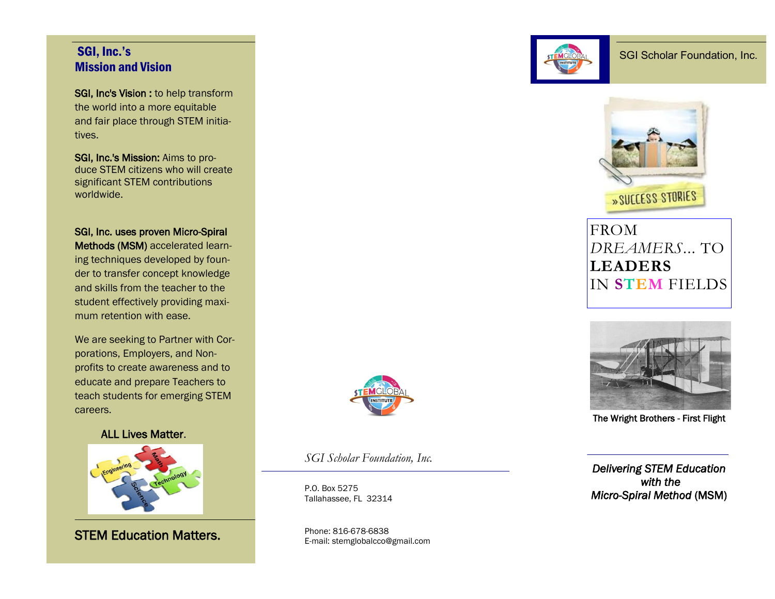### SGI, Inc.'s Mission and Vision

SGI, Inc's Vision : to help transform the world into a more equitable and fair place through STEM initiatives.

SGI, Inc.'s Mission: Aims to produce STEM citizens who will create significant STEM contributions worldwide.

SGI, Inc. uses proven Micro-Spiral Methods (MSM) accelerated learning techniques developed by founder to transfer concept knowledge and skills from the teacher to the student effectively providing maximum retention with ease.

We are seeking to Partner with Corporations, Employers, and Nonprofits to create awareness and to educate and prepare Teachers to teach students for emerging STEM careers.

ALL Lives Matter.



STEM Education Matters.



*SGI Scholar Foundation, Inc.*

P.O. Box 5275 Tallahassee, FL 32314

Phone: 816-678-6838 E-mail: stemglobalcco@gmail.com





# **FROM** *DREAMERS*... TO **LEADERS** IN **STEM** FIELDS



The Wright Brothers - First Flight

*Delivering STEM Education with the Micro-Spiral Method* (MSM)